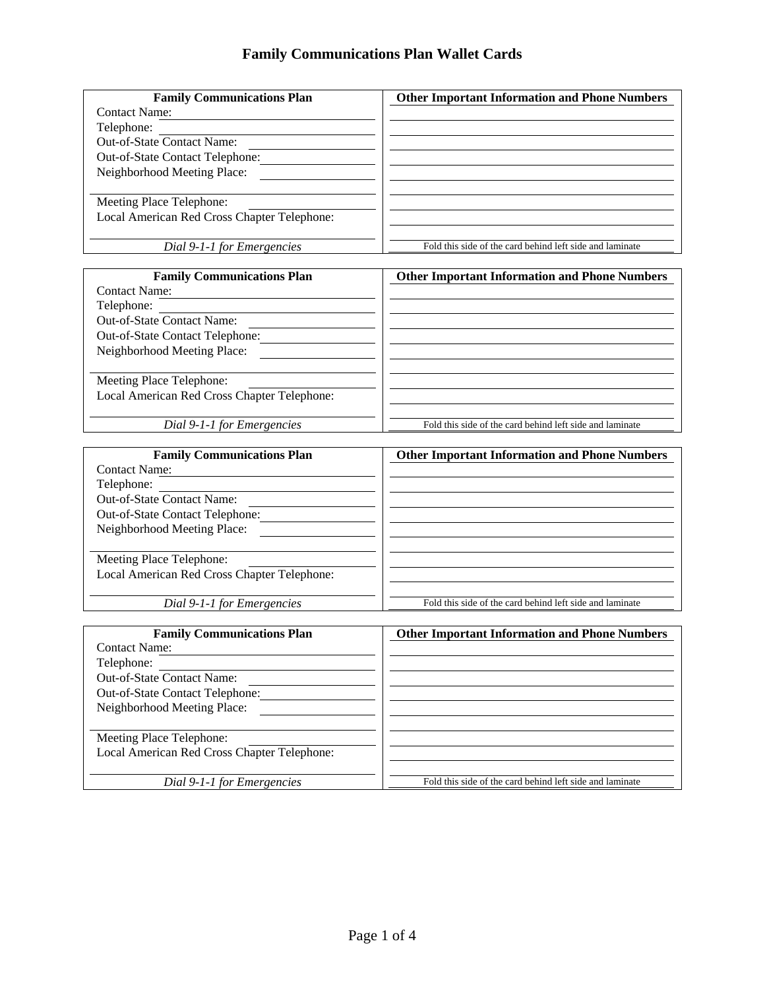| <b>Family Communications Plan</b>                         | <b>Other Important Information and Phone Numbers</b>     |
|-----------------------------------------------------------|----------------------------------------------------------|
| <b>Contact Name:</b>                                      |                                                          |
| Telephone:                                                |                                                          |
| Out-of-State Contact Name:                                |                                                          |
| Out-of-State Contact Telephone:                           |                                                          |
| Neighborhood Meeting Place:                               |                                                          |
|                                                           |                                                          |
| Meeting Place Telephone:                                  |                                                          |
| Local American Red Cross Chapter Telephone:               |                                                          |
|                                                           |                                                          |
| Dial 9-1-1 for Emergencies                                | Fold this side of the card behind left side and laminate |
|                                                           |                                                          |
| <b>Family Communications Plan</b>                         | <b>Other Important Information and Phone Numbers</b>     |
| <b>Contact Name:</b>                                      |                                                          |
| Telephone:                                                |                                                          |
| Out-of-State Contact Name:                                |                                                          |
| Out-of-State Contact Telephone:                           |                                                          |
| Neighborhood Meeting Place:                               |                                                          |
|                                                           |                                                          |
| Meeting Place Telephone:                                  |                                                          |
| Local American Red Cross Chapter Telephone:               |                                                          |
|                                                           |                                                          |
| Dial 9-1-1 for Emergencies                                | Fold this side of the card behind left side and laminate |
|                                                           |                                                          |
|                                                           |                                                          |
|                                                           |                                                          |
| <b>Family Communications Plan</b><br><b>Contact Name:</b> | <b>Other Important Information and Phone Numbers</b>     |
|                                                           |                                                          |
| Telephone:                                                |                                                          |
| Out-of-State Contact Name:                                |                                                          |
| Out-of-State Contact Telephone:                           |                                                          |
| Neighborhood Meeting Place:                               |                                                          |
|                                                           |                                                          |
| Meeting Place Telephone:                                  |                                                          |
| Local American Red Cross Chapter Telephone:               |                                                          |
|                                                           | Fold this side of the card behind left side and laminate |
| Dial 9-1-1 for Emergencies                                |                                                          |
| <b>Family Communications Plan</b>                         |                                                          |
| <b>Contact Name:</b>                                      | <b>Other Important Information and Phone Numbers</b>     |
| Telephone:                                                |                                                          |
| Out-of-State Contact Name:                                |                                                          |
|                                                           |                                                          |
| Out-of-State Contact Telephone:                           |                                                          |
| Neighborhood Meeting Place:                               |                                                          |
|                                                           |                                                          |
| Meeting Place Telephone:                                  |                                                          |
| Local American Red Cross Chapter Telephone:               |                                                          |
| Dial 9-1-1 for Emergencies                                | Fold this side of the card behind left side and laminate |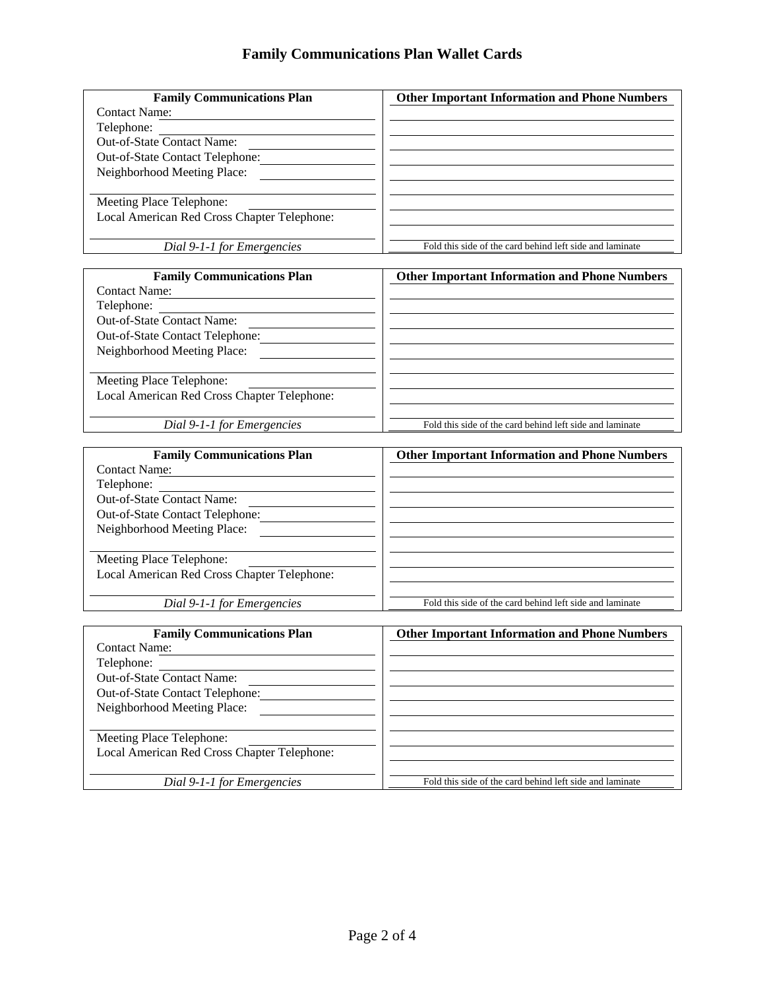| <b>Family Communications Plan</b>           | <b>Other Important Information and Phone Numbers</b>     |
|---------------------------------------------|----------------------------------------------------------|
| <b>Contact Name:</b>                        |                                                          |
| Telephone:                                  |                                                          |
| Out-of-State Contact Name:                  |                                                          |
| Out-of-State Contact Telephone:             |                                                          |
| Neighborhood Meeting Place:                 |                                                          |
|                                             |                                                          |
| Meeting Place Telephone:                    |                                                          |
| Local American Red Cross Chapter Telephone: |                                                          |
|                                             |                                                          |
| Dial 9-1-1 for Emergencies                  | Fold this side of the card behind left side and laminate |
|                                             |                                                          |
| <b>Family Communications Plan</b>           | <b>Other Important Information and Phone Numbers</b>     |
| <b>Contact Name:</b>                        |                                                          |
| Telephone:                                  |                                                          |
| Out-of-State Contact Name:                  |                                                          |
| Out-of-State Contact Telephone:             |                                                          |
| Neighborhood Meeting Place:                 |                                                          |
|                                             |                                                          |
| Meeting Place Telephone:                    |                                                          |
| Local American Red Cross Chapter Telephone: |                                                          |
|                                             |                                                          |
| Dial 9-1-1 for Emergencies                  | Fold this side of the card behind left side and laminate |
|                                             |                                                          |
|                                             |                                                          |
|                                             |                                                          |
| <b>Family Communications Plan</b>           | <b>Other Important Information and Phone Numbers</b>     |
| <b>Contact Name:</b>                        |                                                          |
| Telephone:                                  |                                                          |
| Out-of-State Contact Name:                  |                                                          |
| Out-of-State Contact Telephone:             |                                                          |
| Neighborhood Meeting Place:                 |                                                          |
|                                             |                                                          |
| Meeting Place Telephone:                    |                                                          |
| Local American Red Cross Chapter Telephone: |                                                          |
|                                             |                                                          |
| Dial 9-1-1 for Emergencies                  | Fold this side of the card behind left side and laminate |
|                                             |                                                          |
| <b>Family Communications Plan</b>           | <b>Other Important Information and Phone Numbers</b>     |
| <b>Contact Name:</b>                        |                                                          |
| Telephone:                                  |                                                          |
| Out-of-State Contact Name:                  |                                                          |
| Out-of-State Contact Telephone:             |                                                          |
| Neighborhood Meeting Place:                 |                                                          |
|                                             |                                                          |
| Meeting Place Telephone:                    |                                                          |
| Local American Red Cross Chapter Telephone: |                                                          |
| Dial 9-1-1 for Emergencies                  | Fold this side of the card behind left side and laminate |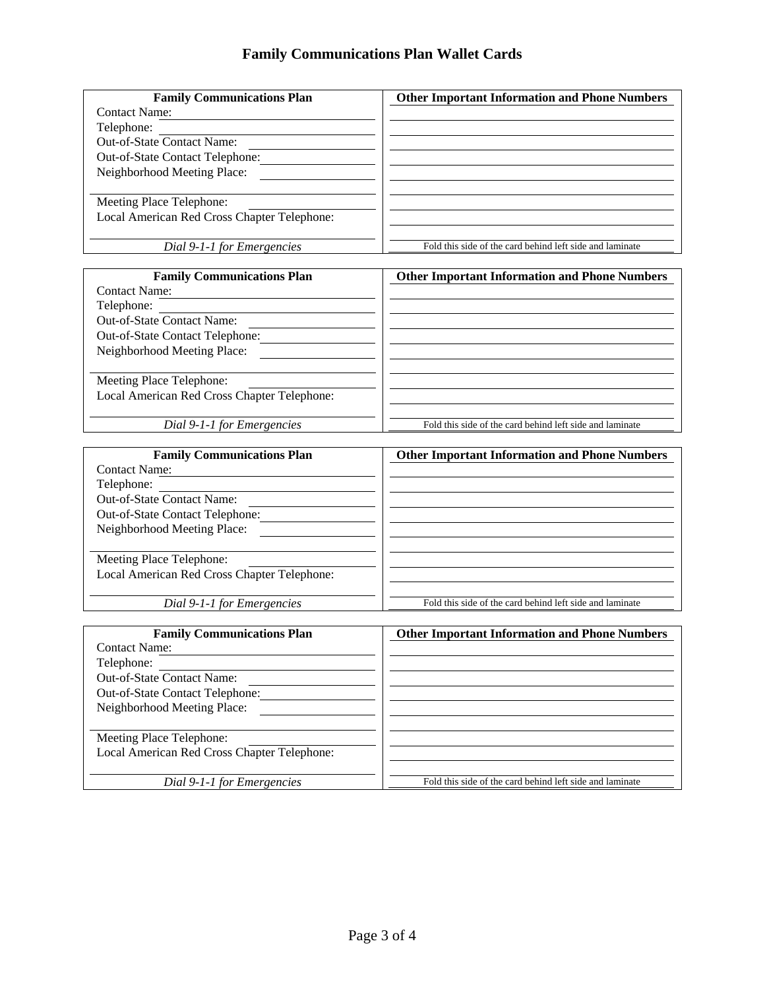| <b>Family Communications Plan</b>                              | <b>Other Important Information and Phone Numbers</b>     |
|----------------------------------------------------------------|----------------------------------------------------------|
| <b>Contact Name:</b>                                           |                                                          |
| Telephone:                                                     |                                                          |
| Out-of-State Contact Name:                                     |                                                          |
| Out-of-State Contact Telephone:                                |                                                          |
| Neighborhood Meeting Place:                                    |                                                          |
|                                                                |                                                          |
| Meeting Place Telephone:                                       |                                                          |
| Local American Red Cross Chapter Telephone:                    |                                                          |
|                                                                |                                                          |
| Dial 9-1-1 for Emergencies                                     | Fold this side of the card behind left side and laminate |
|                                                                |                                                          |
| <b>Family Communications Plan</b>                              | <b>Other Important Information and Phone Numbers</b>     |
| <b>Contact Name:</b>                                           |                                                          |
| Telephone:                                                     |                                                          |
| Out-of-State Contact Name:                                     |                                                          |
| Out-of-State Contact Telephone:                                |                                                          |
| Neighborhood Meeting Place:                                    |                                                          |
|                                                                |                                                          |
| Meeting Place Telephone:                                       |                                                          |
| Local American Red Cross Chapter Telephone:                    |                                                          |
|                                                                |                                                          |
| Dial 9-1-1 for Emergencies                                     | Fold this side of the card behind left side and laminate |
| <b>Family Communications Plan</b>                              | <b>Other Important Information and Phone Numbers</b>     |
| <b>Contact Name:</b>                                           |                                                          |
| Telephone:                                                     |                                                          |
| Out-of-State Contact Name:                                     |                                                          |
| Out-of-State Contact Telephone:                                |                                                          |
| Neighborhood Meeting Place:                                    |                                                          |
|                                                                |                                                          |
| Meeting Place Telephone:                                       |                                                          |
| Local American Red Cross Chapter Telephone:                    |                                                          |
|                                                                |                                                          |
| Dial 9-1-1 for Emergencies                                     | Fold this side of the card behind left side and laminate |
| <b>Family Communications Plan</b>                              |                                                          |
| <b>Contact Name:</b>                                           | <b>Other Important Information and Phone Numbers</b>     |
| Telephone:                                                     |                                                          |
| Out-of-State Contact Name:                                     |                                                          |
|                                                                |                                                          |
| Out-of-State Contact Telephone:<br>Neighborhood Meeting Place: |                                                          |
|                                                                |                                                          |
|                                                                |                                                          |
|                                                                |                                                          |
| Meeting Place Telephone:                                       |                                                          |
| Local American Red Cross Chapter Telephone:                    |                                                          |